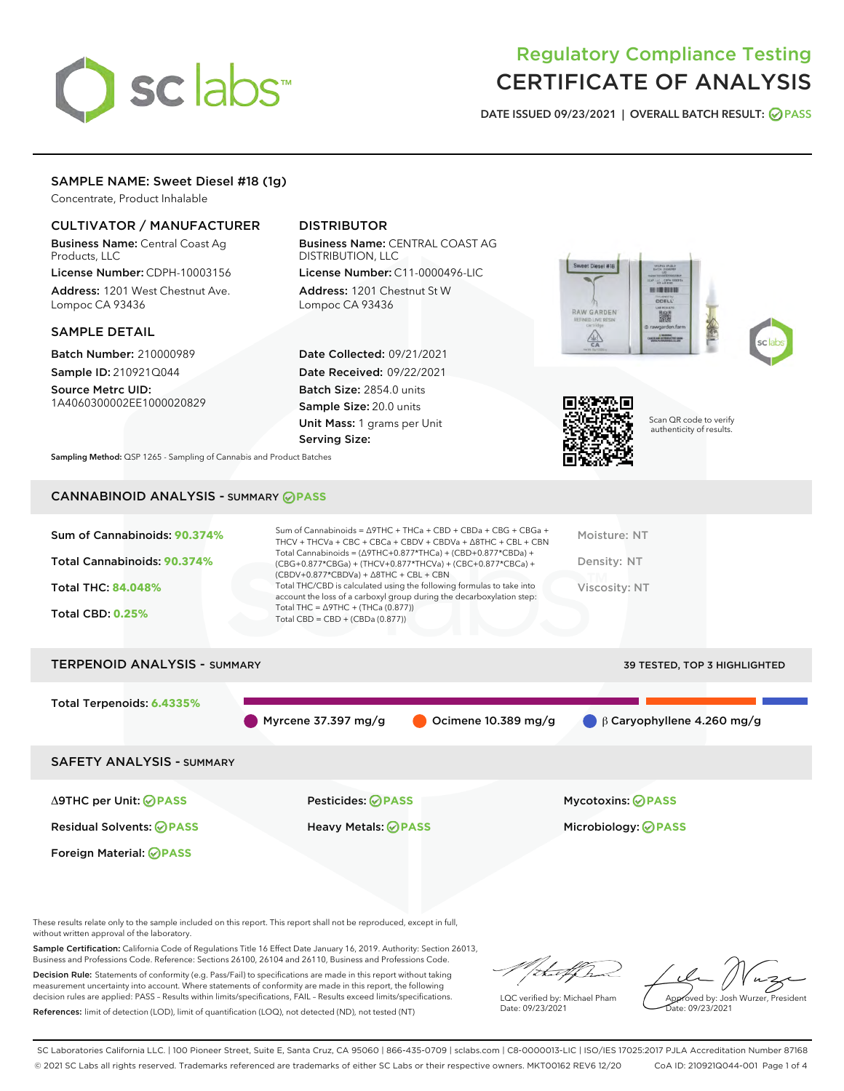# sclabs<sup>\*</sup>

# Regulatory Compliance Testing CERTIFICATE OF ANALYSIS

DATE ISSUED 09/23/2021 | OVERALL BATCH RESULT: @ PASS

# SAMPLE NAME: Sweet Diesel #18 (1g)

Concentrate, Product Inhalable

# CULTIVATOR / MANUFACTURER

Business Name: Central Coast Ag Products, LLC

License Number: CDPH-10003156 Address: 1201 West Chestnut Ave. Lompoc CA 93436

#### SAMPLE DETAIL

Batch Number: 210000989 Sample ID: 210921Q044

Source Metrc UID: 1A4060300002EE1000020829

# DISTRIBUTOR

Business Name: CENTRAL COAST AG DISTRIBUTION, LLC

License Number: C11-0000496-LIC Address: 1201 Chestnut St W Lompoc CA 93436

Date Collected: 09/21/2021 Date Received: 09/22/2021 Batch Size: 2854.0 units Sample Size: 20.0 units Unit Mass: 1 grams per Unit Serving Size:







Scan QR code to verify authenticity of results.

Sampling Method: QSP 1265 - Sampling of Cannabis and Product Batches

# CANNABINOID ANALYSIS - SUMMARY **PASS**

| Sum of Cannabinoids: 90.374%        | Sum of Cannabinoids = $\triangle$ 9THC + THCa + CBD + CBDa + CBG + CBGa +<br>THCV + THCVa + CBC + CBCa + CBDV + CBDVa + $\Delta$ 8THC + CBL + CBN                                    | Moisture: NT                        |
|-------------------------------------|--------------------------------------------------------------------------------------------------------------------------------------------------------------------------------------|-------------------------------------|
| Total Cannabinoids: 90.374%         | Total Cannabinoids = $(\Delta$ 9THC+0.877*THCa) + (CBD+0.877*CBDa) +<br>(CBG+0.877*CBGa) + (THCV+0.877*THCVa) + (CBC+0.877*CBCa) +<br>$(CBDV+0.877*CBDVa) + \Delta 8THC + CBL + CBN$ | Density: NT                         |
| <b>Total THC: 84.048%</b>           | Total THC/CBD is calculated using the following formulas to take into<br>account the loss of a carboxyl group during the decarboxylation step:                                       | Viscosity: NT                       |
| <b>Total CBD: 0.25%</b>             | Total THC = $\triangle$ 9THC + (THCa (0.877))<br>Total CBD = $CBD + (CBDa (0.877))$                                                                                                  |                                     |
| <b>TERPENOID ANALYSIS - SUMMARY</b> |                                                                                                                                                                                      | <b>39 TESTED, TOP 3 HIGHLIGHTED</b> |

Total Terpenoids: **6.4335%**

Myrcene 37.397 mg/g  $\bigcirc$  Ocimene 10.389 mg/g  $\bigcirc$  β Caryophyllene 4.260 mg/g

SAFETY ANALYSIS - SUMMARY

Δ9THC per Unit: **PASS** Pesticides: **PASS** Mycotoxins: **PASS**

Foreign Material: **PASS**

Residual Solvents: **PASS** Heavy Metals: **PASS** Microbiology: **PASS**

These results relate only to the sample included on this report. This report shall not be reproduced, except in full, without written approval of the laboratory.

Sample Certification: California Code of Regulations Title 16 Effect Date January 16, 2019. Authority: Section 26013, Business and Professions Code. Reference: Sections 26100, 26104 and 26110, Business and Professions Code.

Decision Rule: Statements of conformity (e.g. Pass/Fail) to specifications are made in this report without taking measurement uncertainty into account. Where statements of conformity are made in this report, the following decision rules are applied: PASS – Results within limits/specifications, FAIL – Results exceed limits/specifications. References: limit of detection (LOD), limit of quantification (LOQ), not detected (ND), not tested (NT)

that f

LQC verified by: Michael Pham Date: 09/23/2021

Approved by: Josh Wurzer, President ate: 09/23/2021

SC Laboratories California LLC. | 100 Pioneer Street, Suite E, Santa Cruz, CA 95060 | 866-435-0709 | sclabs.com | C8-0000013-LIC | ISO/IES 17025:2017 PJLA Accreditation Number 87168 © 2021 SC Labs all rights reserved. Trademarks referenced are trademarks of either SC Labs or their respective owners. MKT00162 REV6 12/20 CoA ID: 210921Q044-001 Page 1 of 4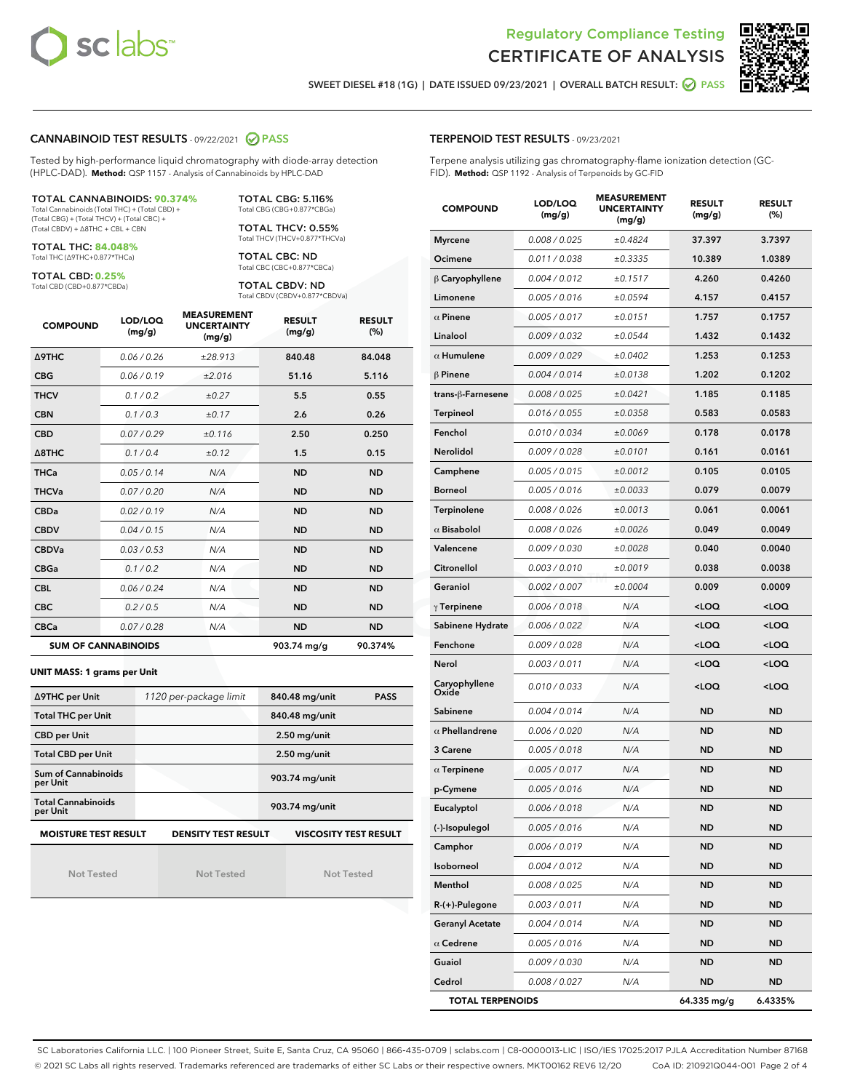



SWEET DIESEL #18 (1G) | DATE ISSUED 09/23/2021 | OVERALL BATCH RESULT: 2 PASS

#### CANNABINOID TEST RESULTS - 09/22/2021 2 PASS

Tested by high-performance liquid chromatography with diode-array detection (HPLC-DAD). **Method:** QSP 1157 - Analysis of Cannabinoids by HPLC-DAD

#### TOTAL CANNABINOIDS: **90.374%**

Total Cannabinoids (Total THC) + (Total CBD) + (Total CBG) + (Total THCV) + (Total CBC) + (Total CBDV) + ∆8THC + CBL + CBN

TOTAL THC: **84.048%** Total THC (∆9THC+0.877\*THCa)

TOTAL CBD: **0.25%**

Total CBD (CBD+0.877\*CBDa)

TOTAL CBG: 5.116% Total CBG (CBG+0.877\*CBGa)

TOTAL THCV: 0.55% Total THCV (THCV+0.877\*THCVa)

TOTAL CBC: ND Total CBC (CBC+0.877\*CBCa)

TOTAL CBDV: ND Total CBDV (CBDV+0.877\*CBDVa)

| <b>COMPOUND</b>  | LOD/LOQ<br>(mg/g)          | <b>MEASUREMENT</b><br><b>UNCERTAINTY</b><br>(mg/g) | <b>RESULT</b><br>(mg/g) | <b>RESULT</b><br>(%) |
|------------------|----------------------------|----------------------------------------------------|-------------------------|----------------------|
| <b>A9THC</b>     | 0.06 / 0.26                | ±28.913                                            | 840.48                  | 84.048               |
| <b>CBG</b>       | 0.06/0.19                  | ±2.016                                             | 51.16                   | 5.116                |
| <b>THCV</b>      | 0.1 / 0.2                  | $\pm 0.27$                                         | 5.5                     | 0.55                 |
| <b>CBN</b>       | 0.1/0.3                    | ±0.17                                              | 2.6                     | 0.26                 |
| <b>CBD</b>       | 0.07/0.29                  | ±0.116                                             | 2.50                    | 0.250                |
| $\triangle$ 8THC | 0.1/0.4                    | ±0.12                                              | 1.5                     | 0.15                 |
| <b>THCa</b>      | 0.05/0.14                  | N/A                                                | <b>ND</b>               | <b>ND</b>            |
| <b>THCVa</b>     | 0.07/0.20                  | N/A                                                | <b>ND</b>               | <b>ND</b>            |
| <b>CBDa</b>      | 0.02/0.19                  | N/A                                                | <b>ND</b>               | <b>ND</b>            |
| <b>CBDV</b>      | 0.04 / 0.15                | N/A                                                | <b>ND</b>               | <b>ND</b>            |
| <b>CBDVa</b>     | 0.03/0.53                  | N/A                                                | <b>ND</b>               | <b>ND</b>            |
| <b>CBGa</b>      | 0.1 / 0.2                  | N/A                                                | <b>ND</b>               | <b>ND</b>            |
| <b>CBL</b>       | 0.06 / 0.24                | N/A                                                | <b>ND</b>               | <b>ND</b>            |
| <b>CBC</b>       | 0.2 / 0.5                  | N/A                                                | <b>ND</b>               | <b>ND</b>            |
| <b>CBCa</b>      | 0.07 / 0.28                | N/A                                                | <b>ND</b>               | <b>ND</b>            |
|                  | <b>SUM OF CANNABINOIDS</b> |                                                    | 903.74 mg/g             | 90.374%              |

#### **UNIT MASS: 1 grams per Unit**

| ∆9THC per Unit                                                                            | 1120 per-package limit | 840.48 mg/unit<br><b>PASS</b> |  |  |  |  |
|-------------------------------------------------------------------------------------------|------------------------|-------------------------------|--|--|--|--|
| <b>Total THC per Unit</b>                                                                 |                        | 840.48 mg/unit                |  |  |  |  |
| <b>CBD per Unit</b>                                                                       |                        | $2.50$ mg/unit                |  |  |  |  |
| <b>Total CBD per Unit</b>                                                                 |                        | $2.50$ mg/unit                |  |  |  |  |
| Sum of Cannabinoids<br>per Unit                                                           |                        | 903.74 mg/unit                |  |  |  |  |
| <b>Total Cannabinoids</b><br>per Unit                                                     |                        | 903.74 mg/unit                |  |  |  |  |
| <b>MOISTURE TEST RESULT</b><br><b>DENSITY TEST RESULT</b><br><b>VISCOSITY TEST RESULT</b> |                        |                               |  |  |  |  |

Not Tested

Not Tested

Not Tested

#### TERPENOID TEST RESULTS - 09/23/2021

Terpene analysis utilizing gas chromatography-flame ionization detection (GC-FID). **Method:** QSP 1192 - Analysis of Terpenoids by GC-FID

| <b>COMPOUND</b>         | LOD/LOQ<br>(mg/g) | <b>MEASUREMENT</b><br><b>UNCERTAINTY</b><br>(mg/g) | <b>RESULT</b><br>(mg/g)                          | <b>RESULT</b><br>(%) |
|-------------------------|-------------------|----------------------------------------------------|--------------------------------------------------|----------------------|
| <b>Myrcene</b>          | 0.008 / 0.025     | ±0.4824                                            | 37.397                                           | 3.7397               |
| Ocimene                 | 0.011 / 0.038     | ±0.3335                                            | 10.389                                           | 1.0389               |
| $\beta$ Caryophyllene   | 0.004 / 0.012     | ±0.1517                                            | 4.260                                            | 0.4260               |
| Limonene                | 0.005 / 0.016     | ±0.0594                                            | 4.157                                            | 0.4157               |
| $\alpha$ Pinene         | 0.005 / 0.017     | ±0.0151                                            | 1.757                                            | 0.1757               |
| Linalool                | 0.009/0.032       | ±0.0544                                            | 1.432                                            | 0.1432               |
| $\alpha$ Humulene       | 0.009 / 0.029     | ±0.0402                                            | 1.253                                            | 0.1253               |
| $\beta$ Pinene          | 0.004 / 0.014     | ±0.0138                                            | 1.202                                            | 0.1202               |
| trans-ß-Farnesene       | 0.008 / 0.025     | ±0.0421                                            | 1.185                                            | 0.1185               |
| <b>Terpineol</b>        | 0.016 / 0.055     | ±0.0358                                            | 0.583                                            | 0.0583               |
| Fenchol                 | 0.010 / 0.034     | ±0.0069                                            | 0.178                                            | 0.0178               |
| Nerolidol               | 0.009 / 0.028     | ±0.0101                                            | 0.161                                            | 0.0161               |
| Camphene                | 0.005 / 0.015     | ±0.0012                                            | 0.105                                            | 0.0105               |
| <b>Borneol</b>          | 0.005 / 0.016     | ±0.0033                                            | 0.079                                            | 0.0079               |
| Terpinolene             | 0.008 / 0.026     | ±0.0013                                            | 0.061                                            | 0.0061               |
| $\alpha$ Bisabolol      | 0.008 / 0.026     | ±0.0026                                            | 0.049                                            | 0.0049               |
| Valencene               | 0.009 / 0.030     | ±0.0028                                            | 0.040                                            | 0.0040               |
| Citronellol             | 0.003 / 0.010     | ±0.0019                                            | 0.038                                            | 0.0038               |
| Geraniol                | 0.002 / 0.007     | ±0.0004                                            | 0.009                                            | 0.0009               |
| $\gamma$ Terpinene      | 0.006 / 0.018     | N/A                                                | <loq< th=""><th><loq< th=""></loq<></th></loq<>  | <loq< th=""></loq<>  |
| Sabinene Hydrate        | 0.006 / 0.022     | N/A                                                | <loq< th=""><th><loq< th=""></loq<></th></loq<>  | <loq< th=""></loq<>  |
| Fenchone                | 0.009 / 0.028     | N/A                                                | <loq< th=""><th><math>&lt;</math>LOQ</th></loq<> | $<$ LOQ              |
| Nerol                   | 0.003 / 0.011     | N/A                                                | $<$ LOQ                                          | <loq< th=""></loq<>  |
| Caryophyllene<br>Oxide  | 0.010 / 0.033     | N/A                                                | <loq< th=""><th><loq< th=""></loq<></th></loq<>  | <loq< th=""></loq<>  |
| Sabinene                | 0.004 / 0.014     | N/A                                                | <b>ND</b>                                        | <b>ND</b>            |
| $\alpha$ Phellandrene   | 0.006 / 0.020     | N/A                                                | ND                                               | ND                   |
| 3 Carene                | 0.005 / 0.018     | N/A                                                | ND                                               | <b>ND</b>            |
| $\alpha$ Terpinene      | 0.005 / 0.017     | N/A                                                | ND                                               | <b>ND</b>            |
| p-Cymene                | 0.005 / 0.016     | N/A                                                | ND                                               | ND                   |
| Eucalyptol              | 0.006 / 0.018     | N/A                                                | <b>ND</b>                                        | <b>ND</b>            |
| (-)-Isopulegol          | 0.005 / 0.016     | N/A                                                | ND                                               | ND                   |
| Camphor                 | 0.006 / 0.019     | N/A                                                | <b>ND</b>                                        | <b>ND</b>            |
| Isoborneol              | 0.004 / 0.012     | N/A                                                | <b>ND</b>                                        | ND                   |
| Menthol                 | 0.008 / 0.025     | N/A                                                | ND                                               | <b>ND</b>            |
| R-(+)-Pulegone          | 0.003 / 0.011     | N/A                                                | ND                                               | ND                   |
| <b>Geranyl Acetate</b>  | 0.004 / 0.014     | N/A                                                | <b>ND</b>                                        | ND                   |
| $\alpha$ Cedrene        | 0.005 / 0.016     | N/A                                                | ND                                               | <b>ND</b>            |
| Guaiol                  | 0.009 / 0.030     | N/A                                                | <b>ND</b>                                        | ND                   |
| Cedrol                  | 0.008 / 0.027     | N/A                                                | <b>ND</b>                                        | ND                   |
| <b>TOTAL TERPENOIDS</b> |                   |                                                    | 64.335 mg/g                                      | 6.4335%              |

SC Laboratories California LLC. | 100 Pioneer Street, Suite E, Santa Cruz, CA 95060 | 866-435-0709 | sclabs.com | C8-0000013-LIC | ISO/IES 17025:2017 PJLA Accreditation Number 87168 © 2021 SC Labs all rights reserved. Trademarks referenced are trademarks of either SC Labs or their respective owners. MKT00162 REV6 12/20 CoA ID: 210921Q044-001 Page 2 of 4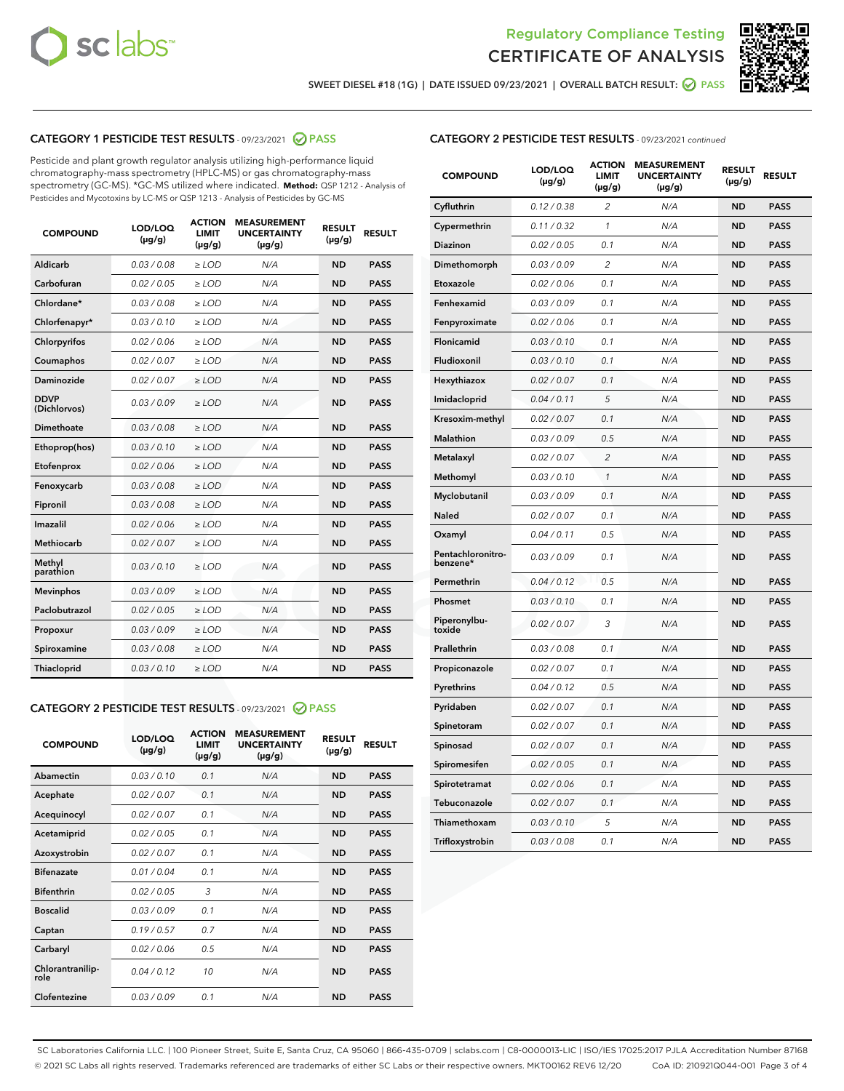



SWEET DIESEL #18 (1G) | DATE ISSUED 09/23/2021 | OVERALL BATCH RESULT: @ PASS

# CATEGORY 1 PESTICIDE TEST RESULTS - 09/23/2021 2 PASS

Pesticide and plant growth regulator analysis utilizing high-performance liquid chromatography-mass spectrometry (HPLC-MS) or gas chromatography-mass spectrometry (GC-MS). \*GC-MS utilized where indicated. **Method:** QSP 1212 - Analysis of Pesticides and Mycotoxins by LC-MS or QSP 1213 - Analysis of Pesticides by GC-MS

| <b>COMPOUND</b>             | LOD/LOQ<br>$(\mu g/g)$ | <b>ACTION</b><br><b>LIMIT</b><br>$(\mu g/g)$ | <b>MEASUREMENT</b><br><b>UNCERTAINTY</b><br>$(\mu g/g)$ | <b>RESULT</b><br>$(\mu g/g)$ | <b>RESULT</b> |
|-----------------------------|------------------------|----------------------------------------------|---------------------------------------------------------|------------------------------|---------------|
| Aldicarb                    | 0.03 / 0.08            | $\geq$ LOD                                   | N/A                                                     | <b>ND</b>                    | <b>PASS</b>   |
| Carbofuran                  | 0.02/0.05              | $>$ LOD                                      | N/A                                                     | <b>ND</b>                    | <b>PASS</b>   |
| Chlordane*                  | 0.03 / 0.08            | $\ge$ LOD                                    | N/A                                                     | <b>ND</b>                    | <b>PASS</b>   |
| Chlorfenapyr*               | 0.03/0.10              | $>$ LOD                                      | N/A                                                     | <b>ND</b>                    | <b>PASS</b>   |
| Chlorpyrifos                | 0.02 / 0.06            | $\ge$ LOD                                    | N/A                                                     | <b>ND</b>                    | <b>PASS</b>   |
| Coumaphos                   | 0.02 / 0.07            | $\ge$ LOD                                    | N/A                                                     | <b>ND</b>                    | <b>PASS</b>   |
| Daminozide                  | 0.02 / 0.07            | $\ge$ LOD                                    | N/A                                                     | <b>ND</b>                    | <b>PASS</b>   |
| <b>DDVP</b><br>(Dichlorvos) | 0.03/0.09              | $\ge$ LOD                                    | N/A                                                     | <b>ND</b>                    | <b>PASS</b>   |
| Dimethoate                  | 0.03/0.08              | $>$ LOD                                      | N/A                                                     | <b>ND</b>                    | <b>PASS</b>   |
| Ethoprop(hos)               | 0.03/0.10              | $\ge$ LOD                                    | N/A                                                     | <b>ND</b>                    | <b>PASS</b>   |
| Etofenprox                  | 0.02 / 0.06            | $\ge$ LOD                                    | N/A                                                     | <b>ND</b>                    | <b>PASS</b>   |
| Fenoxycarb                  | 0.03 / 0.08            | $\ge$ LOD                                    | N/A                                                     | <b>ND</b>                    | <b>PASS</b>   |
| Fipronil                    | 0.03/0.08              | $>$ LOD                                      | N/A                                                     | <b>ND</b>                    | <b>PASS</b>   |
| Imazalil                    | 0.02 / 0.06            | $\ge$ LOD                                    | N/A                                                     | <b>ND</b>                    | <b>PASS</b>   |
| <b>Methiocarb</b>           | 0.02 / 0.07            | $\ge$ LOD                                    | N/A                                                     | <b>ND</b>                    | <b>PASS</b>   |
| Methyl<br>parathion         | 0.03/0.10              | $\ge$ LOD                                    | N/A                                                     | <b>ND</b>                    | <b>PASS</b>   |
| <b>Mevinphos</b>            | 0.03/0.09              | $>$ LOD                                      | N/A                                                     | <b>ND</b>                    | <b>PASS</b>   |
| Paclobutrazol               | 0.02 / 0.05            | $\ge$ LOD                                    | N/A                                                     | <b>ND</b>                    | <b>PASS</b>   |
| Propoxur                    | 0.03/0.09              | $\ge$ LOD                                    | N/A                                                     | <b>ND</b>                    | <b>PASS</b>   |
| Spiroxamine                 | 0.03 / 0.08            | $\ge$ LOD                                    | N/A                                                     | <b>ND</b>                    | <b>PASS</b>   |
| Thiacloprid                 | 0.03/0.10              | $\ge$ LOD                                    | N/A                                                     | <b>ND</b>                    | <b>PASS</b>   |

#### CATEGORY 2 PESTICIDE TEST RESULTS - 09/23/2021 @ PASS

| <b>COMPOUND</b>          | LOD/LOO<br>$(\mu g/g)$ | <b>ACTION</b><br>LIMIT<br>$(\mu g/g)$ | <b>MEASUREMENT</b><br><b>UNCERTAINTY</b><br>$(\mu g/g)$ | <b>RESULT</b><br>$(\mu g/g)$ | <b>RESULT</b> |  |
|--------------------------|------------------------|---------------------------------------|---------------------------------------------------------|------------------------------|---------------|--|
| Abamectin                | 0.03/0.10              | 0.1                                   | N/A                                                     | <b>ND</b>                    | <b>PASS</b>   |  |
| Acephate                 | 0.02/0.07              | 0.1                                   | N/A                                                     | <b>ND</b>                    | <b>PASS</b>   |  |
| Acequinocyl              | 0.02/0.07              | 0.1                                   | N/A                                                     | <b>ND</b>                    | <b>PASS</b>   |  |
| Acetamiprid              | 0.02 / 0.05            | 0.1                                   | N/A                                                     | <b>ND</b>                    | <b>PASS</b>   |  |
| Azoxystrobin             | 0.02/0.07              | 0.1                                   | N/A                                                     | <b>ND</b>                    | <b>PASS</b>   |  |
| <b>Bifenazate</b>        | 0.01 / 0.04            | 0.1                                   | N/A                                                     | <b>ND</b>                    | <b>PASS</b>   |  |
| <b>Bifenthrin</b>        | 0.02 / 0.05            | 3                                     | N/A                                                     | <b>ND</b>                    | <b>PASS</b>   |  |
| <b>Boscalid</b>          | 0.03/0.09              | 0.1                                   | N/A                                                     | <b>ND</b>                    | <b>PASS</b>   |  |
| Captan                   | 0.19/0.57              | 0.7                                   | N/A                                                     | <b>ND</b>                    | <b>PASS</b>   |  |
| Carbaryl                 | 0.02/0.06              | 0.5                                   | N/A                                                     | <b>ND</b>                    | <b>PASS</b>   |  |
| Chlorantranilip-<br>role | 0.04/0.12              | 10                                    | N/A                                                     | <b>ND</b>                    | <b>PASS</b>   |  |
| Clofentezine             | 0.03/0.09              | 0.1                                   | N/A                                                     | <b>ND</b>                    | <b>PASS</b>   |  |

| <b>COMPOUND</b>               | LOD/LOQ<br>(µg/g) | <b>ACTION</b><br><b>LIMIT</b><br>(µg/g) | <b>MEASUREMENT</b><br><b>UNCERTAINTY</b><br>$(\mu g/g)$ | <b>RESULT</b><br>(µg/g) | <b>RESULT</b> |
|-------------------------------|-------------------|-----------------------------------------|---------------------------------------------------------|-------------------------|---------------|
| Cyfluthrin                    | 0.12 / 0.38       | $\overline{c}$                          | N/A                                                     | <b>ND</b>               | <b>PASS</b>   |
| Cypermethrin                  | 0.11 / 0.32       | $\mathcal{I}$                           | N/A                                                     | <b>ND</b>               | <b>PASS</b>   |
| <b>Diazinon</b>               | 0.02 / 0.05       | 0.1                                     | N/A                                                     | <b>ND</b>               | <b>PASS</b>   |
| Dimethomorph                  | 0.03 / 0.09       | 2                                       | N/A                                                     | <b>ND</b>               | <b>PASS</b>   |
| Etoxazole                     | 0.02 / 0.06       | 0.1                                     | N/A                                                     | <b>ND</b>               | <b>PASS</b>   |
| Fenhexamid                    | 0.03 / 0.09       | 0.1                                     | N/A                                                     | <b>ND</b>               | <b>PASS</b>   |
| Fenpyroximate                 | 0.02 / 0.06       | 0.1                                     | N/A                                                     | <b>ND</b>               | <b>PASS</b>   |
| Flonicamid                    | 0.03 / 0.10       | 0.1                                     | N/A                                                     | <b>ND</b>               | <b>PASS</b>   |
| Fludioxonil                   | 0.03/0.10         | 0.1                                     | N/A                                                     | <b>ND</b>               | <b>PASS</b>   |
| Hexythiazox                   | 0.02 / 0.07       | 0.1                                     | N/A                                                     | <b>ND</b>               | <b>PASS</b>   |
| Imidacloprid                  | 0.04 / 0.11       | 5                                       | N/A                                                     | <b>ND</b>               | <b>PASS</b>   |
| Kresoxim-methyl               | 0.02 / 0.07       | 0.1                                     | N/A                                                     | <b>ND</b>               | <b>PASS</b>   |
| <b>Malathion</b>              | 0.03 / 0.09       | 0.5                                     | N/A                                                     | <b>ND</b>               | <b>PASS</b>   |
| Metalaxyl                     | 0.02 / 0.07       | $\overline{c}$                          | N/A                                                     | <b>ND</b>               | <b>PASS</b>   |
| Methomyl                      | 0.03 / 0.10       | 1                                       | N/A                                                     | <b>ND</b>               | <b>PASS</b>   |
| Myclobutanil                  | 0.03 / 0.09       | 0.1                                     | N/A                                                     | <b>ND</b>               | <b>PASS</b>   |
| Naled                         | 0.02 / 0.07       | 0.1                                     | N/A                                                     | <b>ND</b>               | <b>PASS</b>   |
| Oxamyl                        | 0.04 / 0.11       | 0.5                                     | N/A                                                     | <b>ND</b>               | <b>PASS</b>   |
| Pentachloronitro-<br>benzene* | 0.03 / 0.09       | 0.1                                     | N/A                                                     | <b>ND</b>               | <b>PASS</b>   |
| Permethrin                    | 0.04 / 0.12       | 0.5                                     | N/A                                                     | <b>ND</b>               | <b>PASS</b>   |
| Phosmet                       | 0.03 / 0.10       | 0.1                                     | N/A                                                     | <b>ND</b>               | <b>PASS</b>   |
| Piperonylbu-<br>toxide        | 0.02 / 0.07       | 3                                       | N/A                                                     | <b>ND</b>               | <b>PASS</b>   |
| Prallethrin                   | 0.03 / 0.08       | 0.1                                     | N/A                                                     | <b>ND</b>               | <b>PASS</b>   |
| Propiconazole                 | 0.02 / 0.07       | 0.1                                     | N/A                                                     | <b>ND</b>               | <b>PASS</b>   |
| Pyrethrins                    | 0.04 / 0.12       | 0.5                                     | N/A                                                     | <b>ND</b>               | <b>PASS</b>   |
| Pyridaben                     | 0.02 / 0.07       | 0.1                                     | N/A                                                     | <b>ND</b>               | <b>PASS</b>   |
| Spinetoram                    | 0.02 / 0.07       | 0.1                                     | N/A                                                     | <b>ND</b>               | <b>PASS</b>   |
| Spinosad                      | 0.02 / 0.07       | 0.1                                     | N/A                                                     | <b>ND</b>               | <b>PASS</b>   |
| Spiromesifen                  | 0.02 / 0.05       | 0.1                                     | N/A                                                     | <b>ND</b>               | <b>PASS</b>   |
| Spirotetramat                 | 0.02 / 0.06       | 0.1                                     | N/A                                                     | <b>ND</b>               | <b>PASS</b>   |
| Tebuconazole                  | 0.02 / 0.07       | 0.1                                     | N/A                                                     | <b>ND</b>               | <b>PASS</b>   |
| Thiamethoxam                  | 0.03 / 0.10       | 5                                       | N/A                                                     | <b>ND</b>               | <b>PASS</b>   |
| Trifloxystrobin               | 0.03 / 0.08       | 0.1                                     | N/A                                                     | <b>ND</b>               | <b>PASS</b>   |

SC Laboratories California LLC. | 100 Pioneer Street, Suite E, Santa Cruz, CA 95060 | 866-435-0709 | sclabs.com | C8-0000013-LIC | ISO/IES 17025:2017 PJLA Accreditation Number 87168 © 2021 SC Labs all rights reserved. Trademarks referenced are trademarks of either SC Labs or their respective owners. MKT00162 REV6 12/20 CoA ID: 210921Q044-001 Page 3 of 4